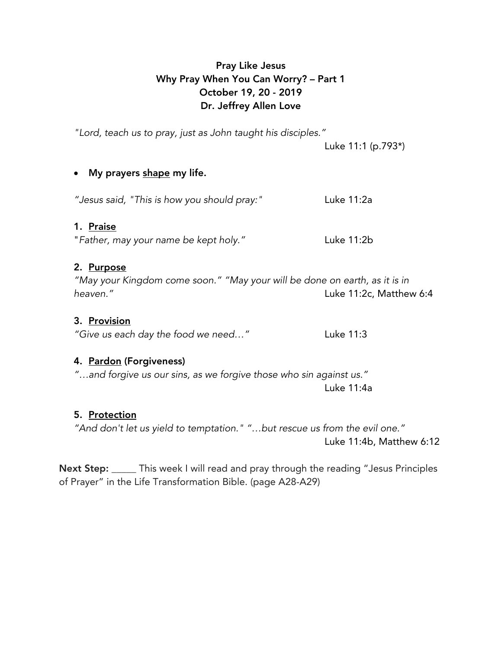# Pray Like Jesus Why Pray When You Can Worry? – Part 1 October 19, 20 - 2019 Dr. Jeffrey Allen Love

*"Lord, teach us to pray, just as John taught his disciples."*

Luke 11:1 (p.793\*)

## • My prayers shape my life.

*"Jesus said, "This is how you should pray:"* Luke 11:2a

## 1. Praise

"*Father, may your name be kept holy."* Luke 11:2b

## 2. Purpose

*"May your Kingdom come soon." "May your will be done on earth, as it is in heaven."* Luke 11:2c, Matthew 6:4

### 3. Provision

*"Give us each day the food we need…"* Luke 11:3

## 4. Pardon (Forgiveness)

*"…and forgive us our sins, as we forgive those who sin against us."* Luke 11:4a

# 5. Protection

*"And don't let us yield to temptation." "…but rescue us from the evil one."* Luke 11:4b, Matthew 6:12

Next Step: \_\_\_\_\_ This week I will read and pray through the reading "Jesus Principles of Prayer" in the Life Transformation Bible. (page A28-A29)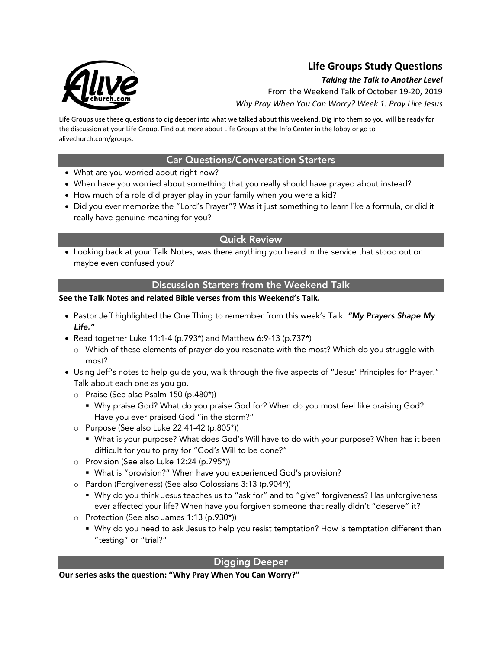

# **Life Groups Study Questions**

#### *Taking the Talk to Another Level*

From the Weekend Talk of October 19-20, 2019 *Why Pray When You Can Worry? Week 1: Pray Like Jesus*

Life Groups use these questions to dig deeper into what we talked about this weekend. Dig into them so you will be ready for the discussion at your Life Group. Find out more about Life Groups at the Info Center in the lobby or go to alivechurch.com/groups.

#### Car Questions/Conversation Starters

- What are you worried about right now?
- When have you worried about something that you really should have prayed about instead?
- How much of a role did prayer play in your family when you were a kid?
- Did you ever memorize the "Lord's Prayer"? Was it just something to learn like a formula, or did it really have genuine meaning for you?

#### Quick Review

• Looking back at your Talk Notes, was there anything you heard in the service that stood out or maybe even confused you?

#### Discussion Starters from the Weekend Talk

#### **See the Talk Notes and related Bible verses from this Weekend's Talk.**

- Pastor Jeff highlighted the One Thing to remember from this week's Talk: *"My Prayers Shape My Life."*
- Read together Luke 11:1-4 (p.793\*) and Matthew 6:9-13 (p.737\*)
	- o Which of these elements of prayer do you resonate with the most? Which do you struggle with most?
- Using Jeff's notes to help guide you, walk through the five aspects of "Jesus' Principles for Prayer." Talk about each one as you go.
	- o Praise (See also Psalm 150 (p.480\*))
		- § Why praise God? What do you praise God for? When do you most feel like praising God? Have you ever praised God "in the storm?"
	- o Purpose (See also Luke 22:41-42 (p.805\*))
		- § What is your purpose? What does God's Will have to do with your purpose? When has it been difficult for you to pray for "God's Will to be done?"
	- o Provision (See also Luke 12:24 (p.795\*))
		- What is "provision?" When have you experienced God's provision?
	- o Pardon (Forgiveness) (See also Colossians 3:13 (p.904\*))
		- § Why do you think Jesus teaches us to "ask for" and to "give" forgiveness? Has unforgiveness ever affected your life? When have you forgiven someone that really didn't "deserve" it?
	- o Protection (See also James 1:13 (p.930\*))
		- **Why do you need to ask Jesus to help you resist temptation? How is temptation different than** "testing" or "trial?"

#### Digging Deeper

**Our series asks the question: "Why Pray When You Can Worry?"**